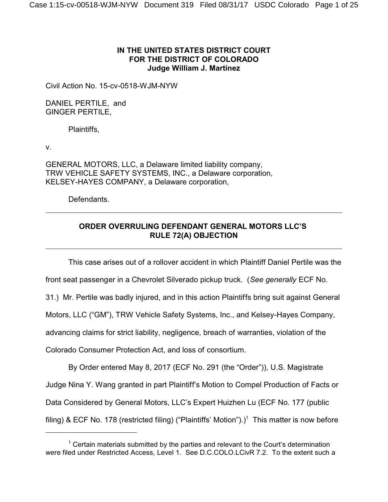## **IN THE UNITED STATES DISTRICT COURT FOR THE DISTRICT OF COLORADO Judge William J. Martínez**

Civil Action No. 15-cv-0518-WJM-NYW

DANIEL PERTILE, and GINGER PERTILE,

Plaintiffs,

v.

GENERAL MOTORS, LLC, a Delaware limited liability company, TRW VEHICLE SAFETY SYSTEMS, INC., a Delaware corporation, KELSEY-HAYES COMPANY, a Delaware corporation,

Defendants.

# **ORDER OVERRULING DEFENDANT GENERAL MOTORS LLC'S RULE 72(A) OBJECTION**

This case arises out of a rollover accident in which Plaintiff Daniel Pertile was the

front seat passenger in a Chevrolet Silverado pickup truck. (*See generally* ECF No.

31.) Mr. Pertile was badly injured, and in this action Plaintiffs bring suit against General

Motors, LLC ("GM"), TRW Vehicle Safety Systems, Inc., and Kelsey-Hayes Company,

advancing claims for strict liability, negligence, breach of warranties, violation of the

Colorado Consumer Protection Act, and loss of consortium.

By Order entered May 8, 2017 (ECF No. 291 (the "Order")), U.S. Magistrate Judge Nina Y. Wang granted in part Plaintiff's Motion to Compel Production of Facts or Data Considered by General Motors, LLC's Expert Huizhen Lu (ECF No. 177 (public filing) & ECF No. 178 (restricted filing) ("Plaintiffs' Motion").)<sup>1</sup> This matter is now before

 $1$  Certain materials submitted by the parties and relevant to the Court's determination were filed under Restricted Access, Level 1. See D.C.COLO.LCivR 7.2. To the extent such a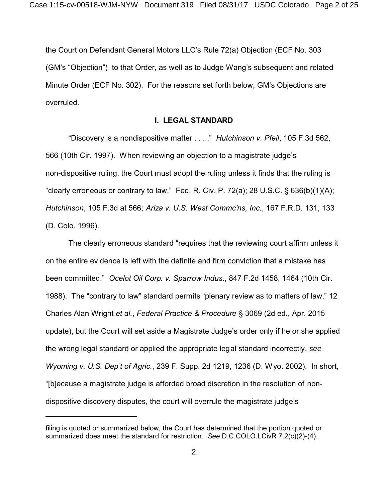the Court on Defendant General Motors LLC's Rule 72(a) Objection (ECF No. 303 (GM's "Objection") to that Order, as well as to Judge Wang's subsequent and related Minute Order (ECF No. 302). For the reasons set forth below, GM's Objections are overruled.

### **I. LEGAL STANDARD**

"Discovery is a nondispositive matter . . . ." *Hutchinson v. Pfeil*, 105 F.3d 562, 566 (10th Cir. 1997). When reviewing an objection to a magistrate judge's non-dispositive ruling, the Court must adopt the ruling unless it finds that the ruling is "clearly erroneous or contrary to law." Fed. R. Civ. P. 72(a); 28 U.S.C.  $\S$  636(b)(1)(A); *Hutchinson*, 105 F.3d at 566; *Ariza v. U.S. West Commc'ns, Inc.*, 167 F.R.D. 131, 133 (D. Colo. 1996).

The clearly erroneous standard "requires that the reviewing court affirm unless it on the entire evidence is left with the definite and firm conviction that a mistake has been committed." *Ocelot Oil Corp. v. Sparrow Indus.*, 847 F.2d 1458, 1464 (10th Cir. 1988). The "contrary to law" standard permits "plenary review as to matters of law," 12 Charles Alan Wright *et al.*, *Federal Practice & Procedure* § 3069 (2d ed., Apr. 2015 update), but the Court will set aside a Magistrate Judge's order only if he or she applied the wrong legal standard or applied the appropriate legal standard incorrectly, *see Wyoming v. U.S. Dep't of Agric.*, 239 F. Supp. 2d 1219, 1236 (D. Wyo. 2002). In short, "[b]ecause a magistrate judge is afforded broad discretion in the resolution of nondispositive discovery disputes, the court will overrule the magistrate judge's

filing is quoted or summarized below, the Court has determined that the portion quoted or summarized does meet the standard for restriction. *See* D.C.COLO.LCivR 7.2(c)(2)-(4).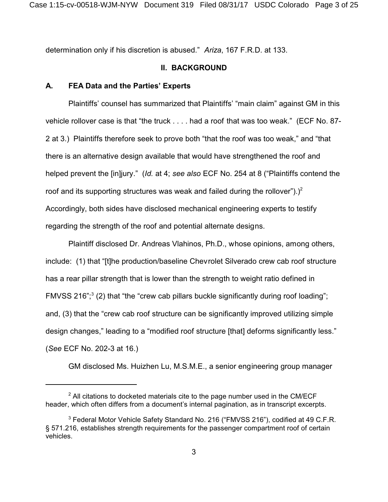determination only if his discretion is abused." *Ariza*, 167 F.R.D. at 133.

## **II. BACKGROUND**

### **A. FEA Data and the Parties' Experts**

Plaintiffs' counsel has summarized that Plaintiffs' "main claim" against GM in this vehicle rollover case is that "the truck . . . . had a roof that was too weak." (ECF No. 87- 2 at 3.) Plaintiffs therefore seek to prove both "that the roof was too weak," and "that there is an alternative design available that would have strengthened the roof and helped prevent the [in]jury." (*Id.* at 4; *see also* ECF No. 254 at 8 ("Plaintiffs contend the roof and its supporting structures was weak and failed during the rollover").)<sup>2</sup> Accordingly, both sides have disclosed mechanical engineering experts to testify regarding the strength of the roof and potential alternate designs.

Plaintiff disclosed Dr. Andreas Vlahinos, Ph.D., whose opinions, among others, include: (1) that "[t]he production/baseline Chevrolet Silverado crew cab roof structure has a rear pillar strength that is lower than the strength to weight ratio defined in FMVSS 216";<sup>3</sup> (2) that "the "crew cab pillars buckle significantly during roof loading"; and, (3) that the "crew cab roof structure can be significantly improved utilizing simple design changes," leading to a "modified roof structure [that] deforms significantly less." (*See* ECF No. 202-3 at 16.)

GM disclosed Ms. Huizhen Lu, M.S.M.E., a senior engineering group manager

 $2$  All citations to docketed materials cite to the page number used in the CM/ECF header, which often differs from a document's internal pagination, as in transcript excerpts.

<sup>&</sup>lt;sup>3</sup> Federal Motor Vehicle Safety Standard No. 216 ("FMVSS 216"), codified at 49 C.F.R. § 571.216, establishes strength requirements for the passenger compartment roof of certain vehicles.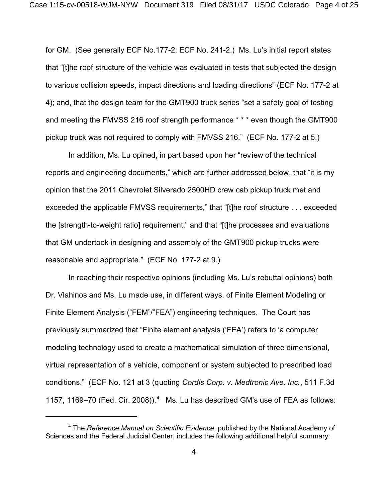for GM. (See generally ECF No.177-2; ECF No. 241-2.) Ms. Lu's initial report states that "[t]he roof structure of the vehicle was evaluated in tests that subjected the design to various collision speeds, impact directions and loading directions" (ECF No. 177-2 at 4); and, that the design team for the GMT900 truck series "set a safety goal of testing and meeting the FMVSS 216 roof strength performance \* \* \* even though the GMT900 pickup truck was not required to comply with FMVSS 216." (ECF No. 177-2 at 5.)

In addition, Ms. Lu opined, in part based upon her "review of the technical reports and engineering documents," which are further addressed below, that "it is my opinion that the 2011 Chevrolet Silverado 2500HD crew cab pickup truck met and exceeded the applicable FMVSS requirements," that "[t]he roof structure . . . exceeded the [strength-to-weight ratio] requirement," and that "[t]he processes and evaluations that GM undertook in designing and assembly of the GMT900 pickup trucks were reasonable and appropriate." (ECF No. 177-2 at 9.)

In reaching their respective opinions (including Ms. Lu's rebuttal opinions) both Dr. Vlahinos and Ms. Lu made use, in different ways, of Finite Element Modeling or Finite Element Analysis ("FEM"/"FEA") engineering techniques. The Court has previously summarized that "Finite element analysis ('FEA') refers to 'a computer modeling technology used to create a mathematical simulation of three dimensional, virtual representation of a vehicle, component or system subjected to prescribed load conditions." (ECF No. 121 at 3 (quoting *Cordis Corp. v. Medtronic Ave, Inc.*, 511 F.3d 1157, 1169-70 (Fed. Cir. 2008)).<sup>4</sup> Ms. Lu has described GM's use of FEA as follows:

<sup>4</sup> The *Reference Manual on Scientific Evidence*, published by the National Academy of Sciences and the Federal Judicial Center, includes the following additional helpful summary: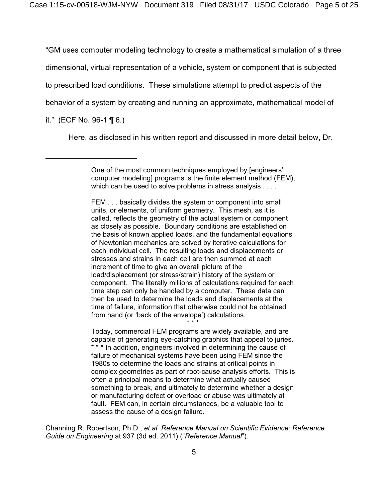"GM uses computer modeling technology to create a mathematical simulation of a three

dimensional, virtual representation of a vehicle, system or component that is subjected

to prescribed load conditions. These simulations attempt to predict aspects of the

behavior of a system by creating and running an approximate, mathematical model of

it." (ECF No. 96-1  $\P$  6.)

Here, as disclosed in his written report and discussed in more detail below, Dr.

FEM . . . basically divides the system or component into small units, or elements, of uniform geometry. This mesh, as it is called, reflects the geometry of the actual system or component as closely as possible. Boundary conditions are established on the basis of known applied loads, and the fundamental equations of Newtonian mechanics are solved by iterative calculations for each individual cell. The resulting loads and displacements or stresses and strains in each cell are then summed at each increment of time to give an overall picture of the load/displacement (or stress/strain) history of the system or component. The literally millions of calculations required for each time step can only be handled by a computer. These data can then be used to determine the loads and displacements at the time of failure, information that otherwise could not be obtained from hand (or 'back of the envelope') calculations.

\* \* \* Today, commercial FEM programs are widely available, and are capable of generating eye-catching graphics that appeal to juries. \* \* \* In addition, engineers involved in determining the cause of failure of mechanical systems have been using FEM since the 1980s to determine the loads and strains at critical points in complex geometries as part of root-cause analysis efforts. This is often a principal means to determine what actually caused something to break, and ultimately to determine whether a design or manufacturing defect or overload or abuse was ultimately at fault. FEM can, in certain circumstances, be a valuable tool to assess the cause of a design failure.

Channing R. Robertson, Ph.D., *et al. Reference Manual on Scientific Evidence: Reference Guide on Engineering* at 937 (3d ed. 2011) ("*Reference Manual*").

One of the most common techniques employed by [engineers' computer modeling] programs is the finite element method (FEM), which can be used to solve problems in stress analysis . . . .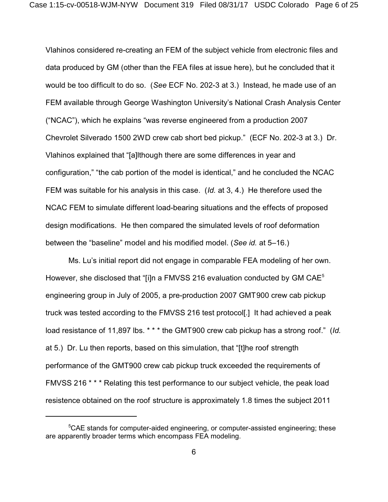Vlahinos considered re-creating an FEM of the subject vehicle from electronic files and data produced by GM (other than the FEA files at issue here), but he concluded that it would be too difficult to do so. (*See* ECF No. 202-3 at 3.) Instead, he made use of an FEM available through George Washington University's National Crash Analysis Center ("NCAC"), which he explains "was reverse engineered from a production 2007 Chevrolet Silverado 1500 2WD crew cab short bed pickup." (ECF No. 202-3 at 3.) Dr. Vlahinos explained that "[a]lthough there are some differences in year and configuration," "the cab portion of the model is identical," and he concluded the NCAC FEM was suitable for his analysis in this case. (*Id.* at 3, 4.) He therefore used the NCAC FEM to simulate different load-bearing situations and the effects of proposed design modifications. He then compared the simulated levels of roof deformation between the "baseline" model and his modified model. (*See id.* at 5–16.)

Ms. Lu's initial report did not engage in comparable FEA modeling of her own. However, she disclosed that "[i]n a FMVSS 216 evaluation conducted by GM CAE<sup>5</sup> engineering group in July of 2005, a pre-production 2007 GMT900 crew cab pickup truck was tested according to the FMVSS 216 test protocol[.] It had achieved a peak load resistance of 11,897 lbs. \* \* \* the GMT900 crew cab pickup has a strong roof." (*Id.* at 5.) Dr. Lu then reports, based on this simulation, that "[t]he roof strength performance of the GMT900 crew cab pickup truck exceeded the requirements of FMVSS 216 \* \* \* Relating this test performance to our subject vehicle, the peak load resistence obtained on the roof structure is approximately 1.8 times the subject 2011

 $5$ CAE stands for computer-aided engineering, or computer-assisted engineering; these are apparently broader terms which encompass FEA modeling.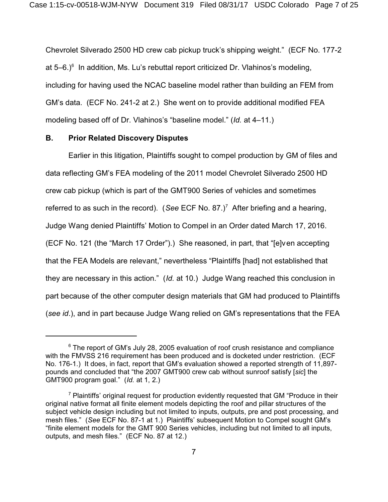Chevrolet Silverado 2500 HD crew cab pickup truck's shipping weight." (ECF No. 177-2 at 5–6.)<sup>6</sup> In addition, Ms. Lu's rebuttal report criticized Dr. Vlahinos's modeling, including for having used the NCAC baseline model rather than building an FEM from GM's data. (ECF No. 241-2 at 2.) She went on to provide additional modified FEA modeling based off of Dr. Vlahinos's "baseline model." (*Id.* at 4–11.)

### **B. Prior Related Discovery Disputes**

Earlier in this litigation, Plaintiffs sought to compel production by GM of files and data reflecting GM's FEA modeling of the 2011 model Chevrolet Silverado 2500 HD crew cab pickup (which is part of the GMT900 Series of vehicles and sometimes referred to as such in the record). (See ECF No. 87.)<sup>7</sup> After briefing and a hearing, Judge Wang denied Plaintiffs' Motion to Compel in an Order dated March 17, 2016. (ECF No. 121 (the "March 17 Order").) She reasoned, in part, that "[e]ven accepting that the FEA Models are relevant," nevertheless "Plaintiffs [had] not established that they are necessary in this action." (*Id.* at 10.) Judge Wang reached this conclusion in part because of the other computer design materials that GM had produced to Plaintiffs (*see id*.), and in part because Judge Wang relied on GM's representations that the FEA

 $6$  The report of GM's July 28, 2005 evaluation of roof crush resistance and compliance with the FMVSS 216 requirement has been produced and is docketed under restriction. (ECF No. 176-1.) It does, in fact, report that GM's evaluation showed a reported strength of 11,897pounds and concluded that "the 2007 GMT900 crew cab without sunroof satisfy [*sic*] the GMT900 program goal." (*Id.* at 1, 2.)

 $7$  Plaintiffs' original request for production evidently requested that GM "Produce in their original native format all finite element models depicting the roof and pillar structures of the subject vehicle design including but not limited to inputs, outputs, pre and post processing, and mesh files." (*See* ECF No. 87-1 at 1.) Plaintiffs' subsequent Motion to Compel sought GM's "finite element models for the GMT 900 Series vehicles, including but not limited to all inputs, outputs, and mesh files." (ECF No. 87 at 12.)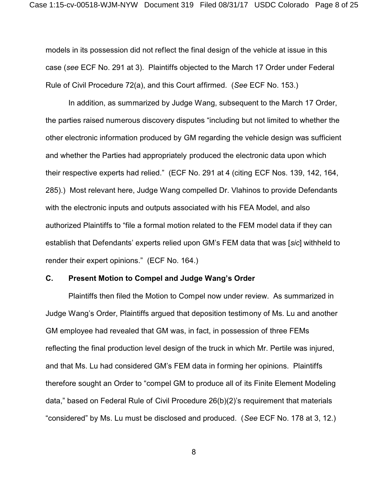models in its possession did not reflect the final design of the vehicle at issue in this case (*see* ECF No. 291 at 3). Plaintiffs objected to the March 17 Order under Federal Rule of Civil Procedure 72(a), and this Court affirmed. (*See* ECF No. 153.)

In addition, as summarized by Judge Wang, subsequent to the March 17 Order, the parties raised numerous discovery disputes "including but not limited to whether the other electronic information produced by GM regarding the vehicle design was sufficient and whether the Parties had appropriately produced the electronic data upon which their respective experts had relied." (ECF No. 291 at 4 (citing ECF Nos. 139, 142, 164, 285).) Most relevant here, Judge Wang compelled Dr. Vlahinos to provide Defendants with the electronic inputs and outputs associated with his FEA Model, and also authorized Plaintiffs to "file a formal motion related to the FEM model data if they can establish that Defendants' experts relied upon GM's FEM data that was [*sic*] withheld to render their expert opinions." (ECF No. 164.)

### **C. Present Motion to Compel and Judge Wang's Order**

Plaintiffs then filed the Motion to Compel now under review. As summarized in Judge Wang's Order, Plaintiffs argued that deposition testimony of Ms. Lu and another GM employee had revealed that GM was, in fact, in possession of three FEMs reflecting the final production level design of the truck in which Mr. Pertile was injured, and that Ms. Lu had considered GM's FEM data in forming her opinions. Plaintiffs therefore sought an Order to "compel GM to produce all of its Finite Element Modeling data," based on Federal Rule of Civil Procedure 26(b)(2)'s requirement that materials "considered" by Ms. Lu must be disclosed and produced. (*See* ECF No. 178 at 3, 12.)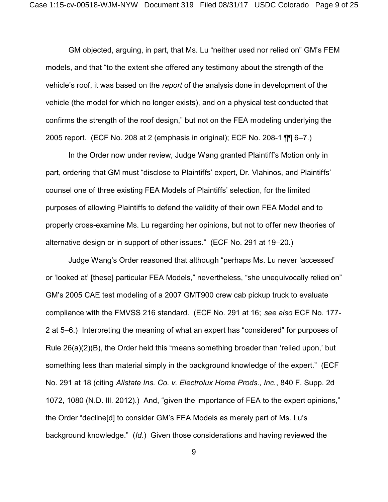GM objected, arguing, in part, that Ms. Lu "neither used nor relied on" GM's FEM models, and that "to the extent she offered any testimony about the strength of the vehicle's roof, it was based on the *report* of the analysis done in development of the vehicle (the model for which no longer exists), and on a physical test conducted that confirms the strength of the roof design," but not on the FEA modeling underlying the 2005 report. (ECF No. 208 at 2 (emphasis in original); ECF No. 208-1 ¶¶ 6–7.)

In the Order now under review, Judge Wang granted Plaintiff's Motion only in part, ordering that GM must "disclose to Plaintiffs' expert, Dr. Vlahinos, and Plaintiffs' counsel one of three existing FEA Models of Plaintiffs' selection, for the limited purposes of allowing Plaintiffs to defend the validity of their own FEA Model and to properly cross-examine Ms. Lu regarding her opinions, but not to offer new theories of alternative design or in support of other issues." (ECF No. 291 at 19–20.)

Judge Wang's Order reasoned that although "perhaps Ms. Lu never 'accessed' or 'looked at' [these] particular FEA Models," nevertheless, "she unequivocally relied on" GM's 2005 CAE test modeling of a 2007 GMT900 crew cab pickup truck to evaluate compliance with the FMVSS 216 standard. (ECF No. 291 at 16; *see also* ECF No. 177- 2 at 5–6.) Interpreting the meaning of what an expert has "considered" for purposes of Rule 26(a)(2)(B), the Order held this "means something broader than 'relied upon,' but something less than material simply in the background knowledge of the expert." (ECF No. 291 at 18 (citing *Allstate Ins. Co. v. Electrolux Home Prods., Inc.*, 840 F. Supp. 2d 1072, 1080 (N.D. Ill. 2012).) And, "given the importance of FEA to the expert opinions," the Order "decline[d] to consider GM's FEA Models as merely part of Ms. Lu's background knowledge." (*Id*.) Given those considerations and having reviewed the

9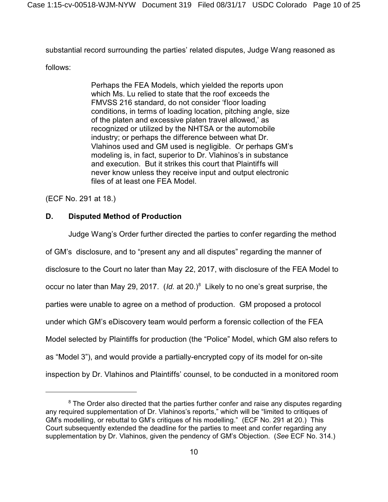substantial record surrounding the parties' related disputes, Judge Wang reasoned as

follows:

Perhaps the FEA Models, which yielded the reports upon which Ms. Lu relied to state that the roof exceeds the FMVSS 216 standard, do not consider 'floor loading conditions, in terms of loading location, pitching angle, size of the platen and excessive platen travel allowed,' as recognized or utilized by the NHTSA or the automobile industry; or perhaps the difference between what Dr. Vlahinos used and GM used is negligible. Or perhaps GM's modeling is, in fact, superior to Dr. Vlahinos's in substance and execution. But it strikes this court that Plaintiffs will never know unless they receive input and output electronic files of at least one FEA Model.

(ECF No. 291 at 18.)

## **D. Disputed Method of Production**

Judge Wang's Order further directed the parties to confer regarding the method of GM's disclosure, and to "present any and all disputes" regarding the manner of disclosure to the Court no later than May 22, 2017, with disclosure of the FEA Model to occur no later than May 29, 2017. (*Id.* at 20.)<sup>8</sup> Likely to no one's great surprise, the parties were unable to agree on a method of production. GM proposed a protocol under which GM's eDiscovery team would perform a forensic collection of the FEA Model selected by Plaintiffs for production (the "Police" Model, which GM also refers to as "Model 3"), and would provide a partially-encrypted copy of its model for on-site inspection by Dr. Vlahinos and Plaintiffs' counsel, to be conducted in a monitored room

 $8$  The Order also directed that the parties further confer and raise any disputes regarding any required supplementation of Dr. Vlahinos's reports," which will be "limited to critiques of GM's modelling, or rebuttal to GM's critiques of his modelling." (ECF No. 291 at 20.) This Court subsequently extended the deadline for the parties to meet and confer regarding any supplementation by Dr. Vlahinos, given the pendency of GM's Objection. (*See* ECF No. 314.)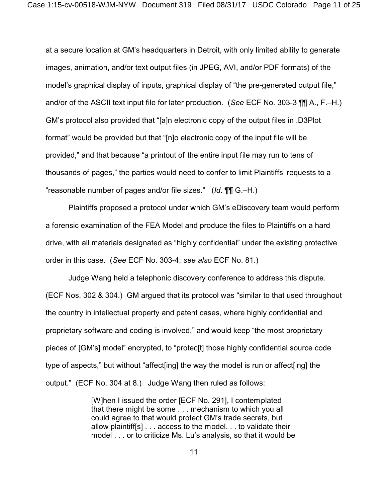at a secure location at GM's headquarters in Detroit, with only limited ability to generate images, animation, and/or text output files (in JPEG, AVI, and/or PDF formats) of the model's graphical display of inputs, graphical display of "the pre-generated output file," and/or of the ASCII text input file for later production. (*See* ECF No. 303-3 ¶¶ A., F.–H.) GM's protocol also provided that "[a]n electronic copy of the output files in .D3Plot format" would be provided but that "[n]o electronic copy of the input file will be provided," and that because "a printout of the entire input file may run to tens of thousands of pages," the parties would need to confer to limit Plaintiffs' requests to a "reasonable number of pages and/or file sizes." (*Id*. ¶¶ G.–H.)

Plaintiffs proposed a protocol under which GM's eDiscovery team would perform a forensic examination of the FEA Model and produce the files to Plaintiffs on a hard drive, with all materials designated as "highly confidential" under the existing protective order in this case. (*See* ECF No. 303-4; *see also* ECF No. 81.)

Judge Wang held a telephonic discovery conference to address this dispute. (ECF Nos. 302 & 304.) GM argued that its protocol was "similar to that used throughout the country in intellectual property and patent cases, where highly confidential and proprietary software and coding is involved," and would keep "the most proprietary pieces of [GM's] model" encrypted, to "protec[t] those highly confidential source code type of aspects," but without "affect[ing] the way the model is run or affect[ing] the output." (ECF No. 304 at 8.) Judge Wang then ruled as follows:

> [W]hen I issued the order [ECF No. 291], I contemplated that there might be some . . . mechanism to which you all could agree to that would protect GM's trade secrets, but allow plaintiff[s] . . . access to the model. . . to validate their model . . . or to criticize Ms. Lu's analysis, so that it would be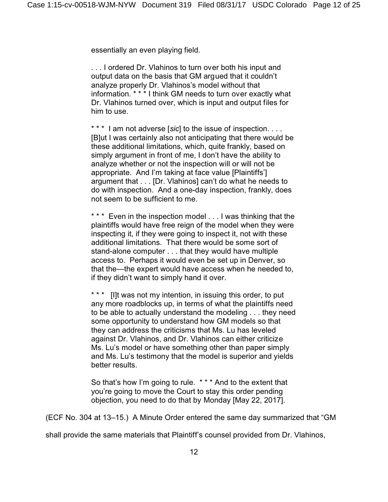essentially an even playing field.

. . . I ordered Dr. Vlahinos to turn over both his input and output data on the basis that GM argued that it couldn't analyze properly Dr. Vlahinos's model without that information. \* \* \* I think GM needs to turn over exactly what Dr. Vlahinos turned over, which is input and output files for him to use.

\* \* \* I am not adverse [sic] to the issue of inspection. . . . [B]ut I was certainly also not anticipating that there would be these additional limitations, which, quite frankly, based on simply argument in front of me, I don't have the ability to analyze whether or not the inspection will or will not be appropriate. And I'm taking at face value [Plaintiffs'] argument that . . . [Dr. Vlahinos] can't do what he needs to do with inspection. And a one-day inspection, frankly, does not seem to be sufficient to me.

\*\*\* Even in the inspection model . . . I was thinking that the plaintiffs would have free reign of the model when they were inspecting it, if they were going to inspect it, not with these additional limitations. That there would be some sort of stand-alone computer . . . that they would have multiple access to. Perhaps it would even be set up in Denver, so that the—the expert would have access when he needed to, if they didn't want to simply hand it over.

\* \* \* IIIt was not my intention, in issuing this order, to put any more roadblocks up, in terms of what the plaintiffs need to be able to actually understand the modeling . . . they need some opportunity to understand how GM models so that they can address the criticisms that Ms. Lu has leveled against Dr. Vlahinos, and Dr. Vlahinos can either criticize Ms. Lu's model or have something other than paper simply and Ms. Lu's testimony that the model is superior and yields better results.

So that's how I'm going to rule. \* \* \* And to the extent that you're going to move the Court to stay this order pending objection, you need to do that by Monday [May 22, 2017].

(ECF No. 304 at 13–15.) A Minute Order entered the same day summarized that "GM

shall provide the same materials that Plaintiff's counsel provided from Dr. Vlahinos,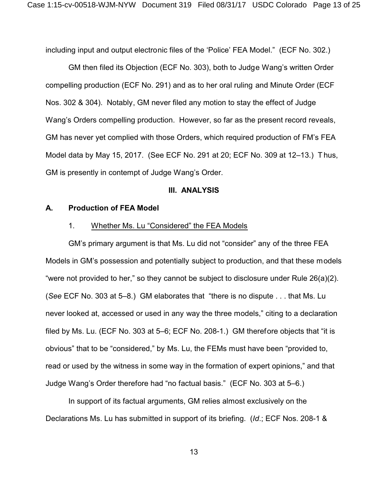including input and output electronic files of the 'Police' FEA Model." (ECF No. 302.)

GM then filed its Objection (ECF No. 303), both to Judge Wang's written Order compelling production (ECF No. 291) and as to her oral ruling and Minute Order (ECF Nos. 302 & 304). Notably, GM never filed any motion to stay the effect of Judge Wang's Orders compelling production. However, so far as the present record reveals, GM has never yet complied with those Orders, which required production of FM's FEA Model data by May 15, 2017. (See ECF No. 291 at 20; ECF No. 309 at 12–13.) Thus, GM is presently in contempt of Judge Wang's Order.

#### **III. ANALYSIS**

#### **A. Production of FEA Model**

#### 1. Whether Ms. Lu "Considered" the FEA Models

GM's primary argument is that Ms. Lu did not "consider" any of the three FEA Models in GM's possession and potentially subject to production, and that these models "were not provided to her," so they cannot be subject to disclosure under Rule 26(a)(2). (*See* ECF No. 303 at 5–8.) GM elaborates that "there is no dispute . . . that Ms. Lu never looked at, accessed or used in any way the three models," citing to a declaration filed by Ms. Lu. (ECF No. 303 at 5–6; ECF No. 208-1.) GM therefore objects that "it is obvious" that to be "considered," by Ms. Lu, the FEMs must have been "provided to, read or used by the witness in some way in the formation of expert opinions," and that Judge Wang's Order therefore had "no factual basis." (ECF No. 303 at 5–6.)

In support of its factual arguments, GM relies almost exclusively on the Declarations Ms. Lu has submitted in support of its briefing. (*Id*.; ECF Nos. 208-1 &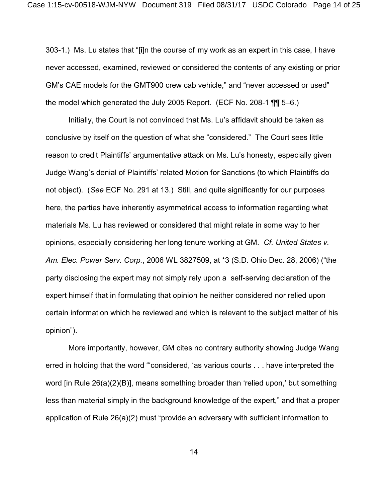303-1.) Ms. Lu states that "[i]n the course of my work as an expert in this case, I have never accessed, examined, reviewed or considered the contents of any existing or prior GM's CAE models for the GMT900 crew cab vehicle," and "never accessed or used" the model which generated the July 2005 Report. (ECF No. 208-1 ¶¶ 5–6.)

Initially, the Court is not convinced that Ms. Lu's affidavit should be taken as conclusive by itself on the question of what she "considered." The Court sees little reason to credit Plaintiffs' argumentative attack on Ms. Lu's honesty, especially given Judge Wang's denial of Plaintiffs' related Motion for Sanctions (to which Plaintiffs do not object). (*See* ECF No. 291 at 13.) Still, and quite significantly for our purposes here, the parties have inherently asymmetrical access to information regarding what materials Ms. Lu has reviewed or considered that might relate in some way to her opinions, especially considering her long tenure working at GM. *Cf. United States v. Am. Elec. Power Serv. Corp.*, 2006 WL 3827509, at \*3 (S.D. Ohio Dec. 28, 2006) ("the party disclosing the expert may not simply rely upon a self-serving declaration of the expert himself that in formulating that opinion he neither considered nor relied upon certain information which he reviewed and which is relevant to the subject matter of his opinion").

More importantly, however, GM cites no contrary authority showing Judge Wang erred in holding that the word "'considered, 'as various courts . . . have interpreted the word [in Rule 26(a)(2)(B)], means something broader than 'relied upon,' but something less than material simply in the background knowledge of the expert," and that a proper application of Rule 26(a)(2) must "provide an adversary with sufficient information to

14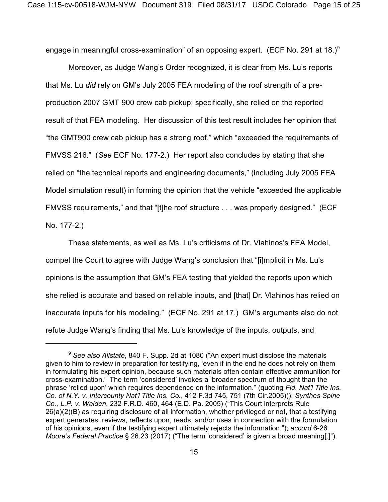engage in meaningful cross-examination" of an opposing expert. (ECF No. 291 at 18.) $^9$ 

Moreover, as Judge Wang's Order recognized, it is clear from Ms. Lu's reports that Ms. Lu *did* rely on GM's July 2005 FEA modeling of the roof strength of a preproduction 2007 GMT 900 crew cab pickup; specifically, she relied on the reported result of that FEA modeling. Her discussion of this test result includes her opinion that "the GMT900 crew cab pickup has a strong roof," which "exceeded the requirements of FMVSS 216." (*See* ECF No. 177-2.) Her report also concludes by stating that she relied on "the technical reports and engineering documents," (including July 2005 FEA Model simulation result) in forming the opinion that the vehicle "exceeded the applicable FMVSS requirements," and that "[t]he roof structure . . . was properly designed." (ECF No. 177-2.)

These statements, as well as Ms. Lu's criticisms of Dr. Vlahinos's FEA Model, compel the Court to agree with Judge Wang's conclusion that "[i]mplicit in Ms. Lu's opinions is the assumption that GM's FEA testing that yielded the reports upon which she relied is accurate and based on reliable inputs, and [that] Dr. Vlahinos has relied on inaccurate inputs for his modeling." (ECF No. 291 at 17.) GM's arguments also do not refute Judge Wang's finding that Ms. Lu's knowledge of the inputs, outputs, and

<sup>9</sup> *See also Allstate*, 840 F. Supp. 2d at 1080 ("An expert must disclose the materials given to him to review in preparation for testifying, 'even if in the end he does not rely on them in formulating his expert opinion, because such materials often contain effective ammunition for cross-examination.' The term 'considered' invokes a 'broader spectrum of thought than the phrase 'relied upon' which requires dependence on the information." (quoting *Fid. Nat'l Title Ins. Co. of N.Y. v. Intercounty Nat'l Title Ins. Co.*, 412 F.3d 745, 751 (7th Cir.2005))); *Synthes Spine Co., L.P. v. Walden*, 232 F.R.D. 460, 464 (E.D. Pa. 2005) ("This Court interprets Rule 26(a)(2)(B) as requiring disclosure of all information, whether privileged or not, that a testifying expert generates, reviews, reflects upon, reads, and/or uses in connection with the formulation of his opinions, even if the testifying expert ultimately rejects the information."); *accord* 6-26 *Moore's Federal Practice* § 26.23 (2017) ("The term 'considered' is given a broad meaning[.]").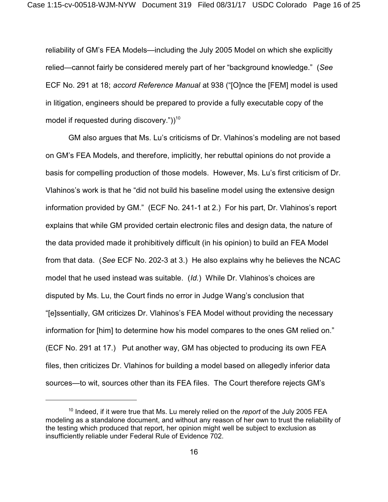reliability of GM's FEA Models—including the July 2005 Model on which she explicitly relied—cannot fairly be considered merely part of her "background knowledge." (*See* ECF No. 291 at 18; *accord Reference Manual* at 938 ("[O]nce the [FEM] model is used in litigation, engineers should be prepared to provide a fully executable copy of the model if requested during discovery." $)^{10}$ 

GM also argues that Ms. Lu's criticisms of Dr. Vlahinos's modeling are not based on GM's FEA Models, and therefore, implicitly, her rebuttal opinions do not provide a basis for compelling production of those models. However, Ms. Lu's first criticism of Dr. Vlahinos's work is that he "did not build his baseline model using the extensive design information provided by GM." (ECF No. 241-1 at 2.) For his part, Dr. Vlahinos's report explains that while GM provided certain electronic files and design data, the nature of the data provided made it prohibitively difficult (in his opinion) to build an FEA Model from that data. (*See* ECF No. 202-3 at 3.) He also explains why he believes the NCAC model that he used instead was suitable. (*Id.*) While Dr. Vlahinos's choices are disputed by Ms. Lu, the Court finds no error in Judge Wang's conclusion that "[e]ssentially, GM criticizes Dr. Vlahinos's FEA Model without providing the necessary information for [him] to determine how his model compares to the ones GM relied on." (ECF No. 291 at 17.) Put another way, GM has objected to producing its own FEA files, then criticizes Dr. Vlahinos for building a model based on allegedly inferior data sources—to wit, sources other than its FEA files. The Court therefore rejects GM's

<sup>&</sup>lt;sup>10</sup> Indeed, if it were true that Ms. Lu merely relied on the *report* of the July 2005 FEA modeling as a standalone document, and without any reason of her own to trust the reliability of the testing which produced that report, her opinion might well be subject to exclusion as insufficiently reliable under Federal Rule of Evidence 702.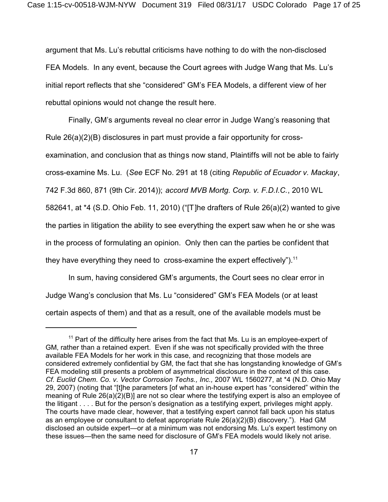argument that Ms. Lu's rebuttal criticisms have nothing to do with the non-disclosed FEA Models. In any event, because the Court agrees with Judge Wang that Ms. Lu's initial report reflects that she "considered" GM's FEA Models, a different view of her rebuttal opinions would not change the result here.

Finally, GM's arguments reveal no clear error in Judge Wang's reasoning that Rule 26(a)(2)(B) disclosures in part must provide a fair opportunity for crossexamination, and conclusion that as things now stand, Plaintiffs will not be able to fairly cross-examine Ms. Lu. (*See* ECF No. 291 at 18 (citing *Republic of Ecuador v. Mackay*, 742 F.3d 860, 871 (9th Cir. 2014)); *accord MVB Mortg. Corp. v. F.D.I.C.*, 2010 WL 582641, at \*4 (S.D. Ohio Feb. 11, 2010) ("[T]he drafters of Rule 26(a)(2) wanted to give the parties in litigation the ability to see everything the expert saw when he or she was in the process of formulating an opinion. Only then can the parties be confident that they have everything they need to cross-examine the expert effectively").<sup>11</sup>

In sum, having considered GM's arguments, the Court sees no clear error in Judge Wang's conclusion that Ms. Lu "considered" GM's FEA Models (or at least certain aspects of them) and that as a result, one of the available models must be

 $11$  Part of the difficulty here arises from the fact that Ms. Lu is an employee-expert of GM, rather than a retained expert. Even if she was not specifically provided with the three available FEA Models for her work in this case, and recognizing that those models are considered extremely confidential by GM, the fact that she has longstanding knowledge of GM's FEA modeling still presents a problem of asymmetrical disclosure in the context of this case. *Cf. Euclid Chem. Co. v. Vector Corrosion Techs., Inc.,* 2007 WL 1560277, at \*4 (N.D. Ohio May 29, 2007) (noting that "[t]he parameters [of what an in-house expert has "considered" within the meaning of Rule 26(a)(2)(B)] are not so clear where the testifying expert is also an employee of the litigant . . . . But for the person's designation as a testifying expert, privileges might apply. The courts have made clear, however, that a testifying expert cannot fall back upon his status as an employee or consultant to defeat appropriate Rule 26(a)(2)(B) discovery."). Had GM disclosed an outside expert—or at a minimum was not endorsing Ms. Lu's expert testimony on these issues—then the same need for disclosure of GM's FEA models would likely not arise.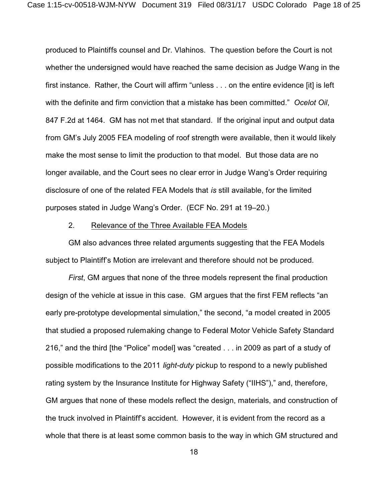produced to Plaintiffs counsel and Dr. Vlahinos. The question before the Court is not whether the undersigned would have reached the same decision as Judge Wang in the first instance. Rather, the Court will affirm "unless . . . on the entire evidence [it] is left with the definite and firm conviction that a mistake has been committed." *Ocelot Oil*, 847 F.2d at 1464. GM has not met that standard. If the original input and output data from GM's July 2005 FEA modeling of roof strength were available, then it would likely make the most sense to limit the production to that model. But those data are no longer available, and the Court sees no clear error in Judge Wang's Order requiring disclosure of one of the related FEA Models that *is* still available, for the limited purposes stated in Judge Wang's Order. (ECF No. 291 at 19–20.)

#### 2. Relevance of the Three Available FEA Models

GM also advances three related arguments suggesting that the FEA Models subject to Plaintiff's Motion are irrelevant and therefore should not be produced.

*First*, GM argues that none of the three models represent the final production design of the vehicle at issue in this case. GM argues that the first FEM reflects "an early pre-prototype developmental simulation," the second, "a model created in 2005 that studied a proposed rulemaking change to Federal Motor Vehicle Safety Standard 216," and the third [the "Police" model] was "created . . . in 2009 as part of a study of possible modifications to the 2011 *light-duty* pickup to respond to a newly published rating system by the Insurance Institute for Highway Safety ("IIHS")," and, therefore, GM argues that none of these models reflect the design, materials, and construction of the truck involved in Plaintiff's accident. However, it is evident from the record as a whole that there is at least some common basis to the way in which GM structured and

18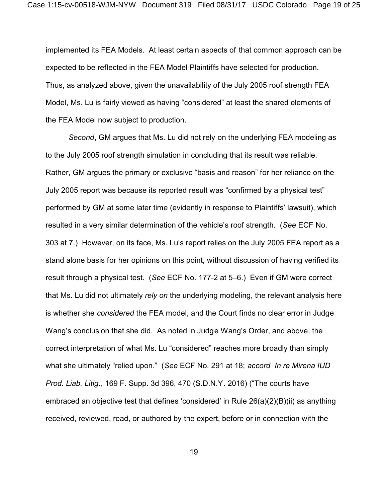implemented its FEA Models. At least certain aspects of that common approach can be expected to be reflected in the FEA Model Plaintiffs have selected for production. Thus, as analyzed above, given the unavailability of the July 2005 roof strength FEA Model, Ms. Lu is fairly viewed as having "considered" at least the shared elements of the FEA Model now subject to production.

*Second*, GM argues that Ms. Lu did not rely on the underlying FEA modeling as to the July 2005 roof strength simulation in concluding that its result was reliable. Rather, GM argues the primary or exclusive "basis and reason" for her reliance on the July 2005 report was because its reported result was "confirmed by a physical test" performed by GM at some later time (evidently in response to Plaintiffs' lawsuit), which resulted in a very similar determination of the vehicle's roof strength. (*See* ECF No. 303 at 7.) However, on its face, Ms. Lu's report relies on the July 2005 FEA report as a stand alone basis for her opinions on this point, without discussion of having verified its result through a physical test. (*See* ECF No. 177-2 at 5–6.) Even if GM were correct that Ms. Lu did not ultimately *rely on* the underlying modeling, the relevant analysis here is whether she *considered* the FEA model, and the Court finds no clear error in Judge Wang's conclusion that she did. As noted in Judge Wang's Order, and above, the correct interpretation of what Ms. Lu "considered" reaches more broadly than simply what she ultimately "relied upon." (*See* ECF No. 291 at 18; *accord In re Mirena IUD Prod. Liab. Litig.*, 169 F. Supp. 3d 396, 470 (S.D.N.Y. 2016) ("The courts have embraced an objective test that defines 'considered' in Rule 26(a)(2)(B)(ii) as anything received, reviewed, read, or authored by the expert, before or in connection with the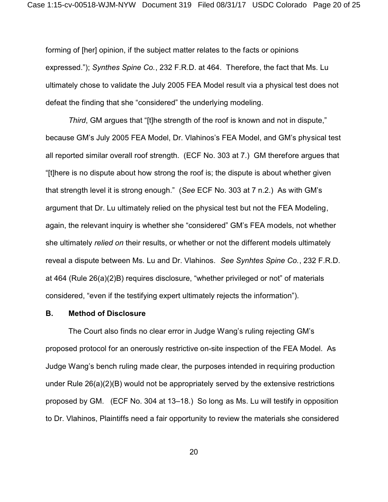forming of [her] opinion, if the subject matter relates to the facts or opinions expressed."); *Synthes Spine Co.*, 232 F.R.D. at 464. Therefore, the fact that Ms. Lu ultimately chose to validate the July 2005 FEA Model result via a physical test does not defeat the finding that she "considered" the underlying modeling.

*Third*, GM argues that "[t]he strength of the roof is known and not in dispute," because GM's July 2005 FEA Model, Dr. Vlahinos's FEA Model, and GM's physical test all reported similar overall roof strength. (ECF No. 303 at 7.) GM therefore argues that "[t]here is no dispute about how strong the roof is; the dispute is about whether given that strength level it is strong enough." (*See* ECF No. 303 at 7 n.2.) As with GM's argument that Dr. Lu ultimately relied on the physical test but not the FEA Modeling, again, the relevant inquiry is whether she "considered" GM's FEA models, not whether she ultimately *relied on* their results, or whether or not the different models ultimately reveal a dispute between Ms. Lu and Dr. Vlahinos. *See Synhtes Spine Co.*, 232 F.R.D. at 464 (Rule 26(a)(2)B) requires disclosure, "whether privileged or not" of materials considered, "even if the testifying expert ultimately rejects the information").

### **B. Method of Disclosure**

The Court also finds no clear error in Judge Wang's ruling rejecting GM's proposed protocol for an onerously restrictive on-site inspection of the FEA Model. As Judge Wang's bench ruling made clear, the purposes intended in requiring production under Rule 26(a)(2)(B) would not be appropriately served by the extensive restrictions proposed by GM. (ECF No. 304 at 13–18.) So long as Ms. Lu will testify in opposition to Dr. Vlahinos, Plaintiffs need a fair opportunity to review the materials she considered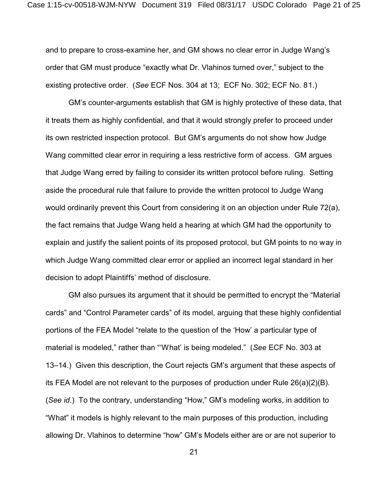and to prepare to cross-examine her, and GM shows no clear error in Judge Wang's order that GM must produce "exactly what Dr. Vlahinos turned over," subject to the existing protective order. (*See* ECF Nos. 304 at 13; ECF No. 302; ECF No. 81.)

GM's counter-arguments establish that GM is highly protective of these data, that it treats them as highly confidential, and that it would strongly prefer to proceed under its own restricted inspection protocol. But GM's arguments do not show how Judge Wang committed clear error in requiring a less restrictive form of access. GM argues that Judge Wang erred by failing to consider its written protocol before ruling. Setting aside the procedural rule that failure to provide the written protocol to Judge Wang would ordinarily prevent this Court from considering it on an objection under Rule 72(a), the fact remains that Judge Wang held a hearing at which GM had the opportunity to explain and justify the salient points of its proposed protocol, but GM points to no way in which Judge Wang committed clear error or applied an incorrect legal standard in her decision to adopt Plaintiffs' method of disclosure.

GM also pursues its argument that it should be permitted to encrypt the "Material cards" and "Control Parameter cards" of its model, arguing that these highly confidential portions of the FEA Model "relate to the question of the 'How' a particular type of material is modeled," rather than "'What' is being modeled." (*See* ECF No. 303 at 13–14.) Given this description, the Court rejects GM's argument that these aspects of its FEA Model are not relevant to the purposes of production under Rule 26(a)(2)(B). (*See id*.) To the contrary, understanding "How," GM's modeling works, in addition to "What" it models is highly relevant to the main purposes of this production, including allowing Dr. Vlahinos to determine "how" GM's Models either are or are not superior to

21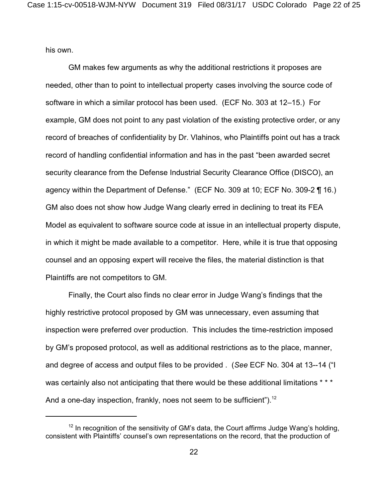his own.

GM makes few arguments as why the additional restrictions it proposes are needed, other than to point to intellectual property cases involving the source code of software in which a similar protocol has been used. (ECF No. 303 at 12–15.) For example, GM does not point to any past violation of the existing protective order, or any record of breaches of confidentiality by Dr. Vlahinos, who Plaintiffs point out has a track record of handling confidential information and has in the past "been awarded secret security clearance from the Defense Industrial Security Clearance Office (DISCO), an agency within the Department of Defense." (ECF No. 309 at 10; ECF No. 309-2 ¶ 16.) GM also does not show how Judge Wang clearly erred in declining to treat its FEA Model as equivalent to software source code at issue in an intellectual property dispute, in which it might be made available to a competitor. Here, while it is true that opposing counsel and an opposing expert will receive the files, the material distinction is that Plaintiffs are not competitors to GM.

Finally, the Court also finds no clear error in Judge Wang's findings that the highly restrictive protocol proposed by GM was unnecessary, even assuming that inspection were preferred over production. This includes the time-restriction imposed by GM's proposed protocol, as well as additional restrictions as to the place, manner, and degree of access and output files to be provided . (*See* ECF No. 304 at 13--14 ("I was certainly also not anticipating that there would be these additional limitations \* \* \* And a one-day inspection, frankly, noes not seem to be sufficient").<sup>12</sup>

 $12$  In recognition of the sensitivity of GM's data, the Court affirms Judge Wang's holding, consistent with Plaintiffs' counsel's own representations on the record, that the production of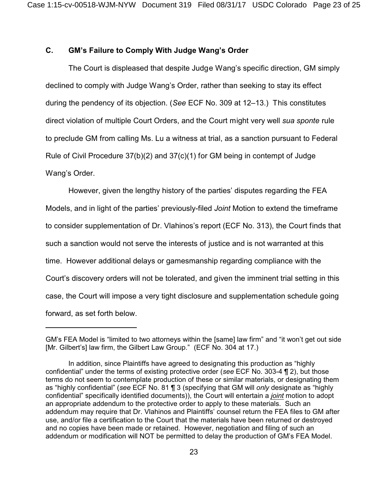## **C. GM's Failure to Comply With Judge Wang's Order**

The Court is displeased that despite Judge Wang's specific direction, GM simply declined to comply with Judge Wang's Order, rather than seeking to stay its effect during the pendency of its objection. (*See* ECF No. 309 at 12–13.) This constitutes direct violation of multiple Court Orders, and the Court might very well *sua sponte* rule to preclude GM from calling Ms. Lu a witness at trial, as a sanction pursuant to Federal Rule of Civil Procedure 37(b)(2) and 37(c)(1) for GM being in contempt of Judge Wang's Order.

However, given the lengthy history of the parties' disputes regarding the FEA Models, and in light of the parties' previously-filed *Joint* Motion to extend the timeframe to consider supplementation of Dr. Vlahinos's report (ECF No. 313), the Court finds that such a sanction would not serve the interests of justice and is not warranted at this time. However additional delays or gamesmanship regarding compliance with the Court's discovery orders will not be tolerated, and given the imminent trial setting in this case, the Court will impose a very tight disclosure and supplementation schedule going forward, as set forth below.

GM's FEA Model is "limited to two attorneys within the [same] law firm" and "it won't get out side [Mr. Gilbert's] law firm, the Gilbert Law Group." (ECF No. 304 at 17.)

In addition, since Plaintiffs have agreed to designating this production as "highly confidential" under the terms of existing protective order (*see* ECF No. 303-4 ¶ 2), but those terms do not seem to contemplate production of these or similar materials, or designating them as "highly confidential" (*see* ECF No. 81 ¶ 3 (specifying that GM will *only* designate as "highly confidential" specifically identified documents)), the Court will entertain a *joint* motion to adopt an appropriate addendum to the protective order to apply to these materials. Such an addendum may require that Dr. Vlahinos and Plaintiffs' counsel return the FEA files to GM after use, and/or file a certification to the Court that the materials have been returned or destroyed and no copies have been made or retained. However, negotiation and filing of such an addendum or modification will NOT be permitted to delay the production of GM's FEA Model.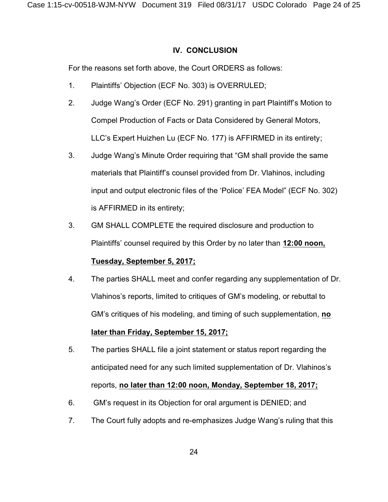## **IV. CONCLUSION**

For the reasons set forth above, the Court ORDERS as follows:

- 1. Plaintiffs' Objection (ECF No. 303) is OVERRULED;
- 2. Judge Wang's Order (ECF No. 291) granting in part Plaintiff's Motion to Compel Production of Facts or Data Considered by General Motors, LLC's Expert Huizhen Lu (ECF No. 177) is AFFIRMED in its entirety;
- 3. Judge Wang's Minute Order requiring that "GM shall provide the same materials that Plaintiff's counsel provided from Dr. Vlahinos, including input and output electronic files of the 'Police' FEA Model" (ECF No. 302) is AFFIRMED in its entirety;
- 3. GM SHALL COMPLETE the required disclosure and production to Plaintiffs' counsel required by this Order by no later than **12:00 noon,**

# **Tuesday, September 5, 2017;**

4. The parties SHALL meet and confer regarding any supplementation of Dr. Vlahinos's reports, limited to critiques of GM's modeling, or rebuttal to GM's critiques of his modeling, and timing of such supplementation, **no**

# **later than Friday, September 15, 2017;**

- 5. The parties SHALL file a joint statement or status report regarding the anticipated need for any such limited supplementation of Dr. Vlahinos's reports, **no later than 12:00 noon, Monday, September 18, 2017;**
- 6. GM's request in its Objection for oral argument is DENIED; and
- 7. The Court fully adopts and re-emphasizes Judge Wang's ruling that this